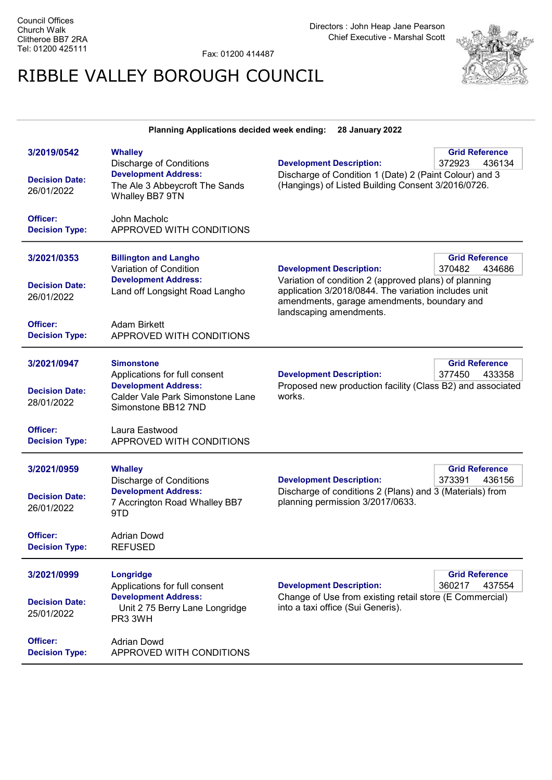Fax: 01200 414487

## RIBBLE VALLEY BOROUGH COUNCIL



| Planning Applications decided week ending:<br><b>28 January 2022</b>                                             |                                                                                                                                                                                            |                                                                                                                                                                                                                                                                         |  |
|------------------------------------------------------------------------------------------------------------------|--------------------------------------------------------------------------------------------------------------------------------------------------------------------------------------------|-------------------------------------------------------------------------------------------------------------------------------------------------------------------------------------------------------------------------------------------------------------------------|--|
| 3/2019/0542<br><b>Decision Date:</b><br>26/01/2022                                                               | <b>Whalley</b><br><b>Discharge of Conditions</b><br><b>Development Address:</b><br>The Ale 3 Abbeycroft The Sands<br>Whalley BB7 9TN                                                       | <b>Grid Reference</b><br><b>Development Description:</b><br>372923<br>436134<br>Discharge of Condition 1 (Date) 2 (Paint Colour) and 3<br>(Hangings) of Listed Building Consent 3/2016/0726.                                                                            |  |
| Officer:<br><b>Decision Type:</b>                                                                                | John Macholc<br>APPROVED WITH CONDITIONS                                                                                                                                                   |                                                                                                                                                                                                                                                                         |  |
| 3/2021/0353<br><b>Decision Date:</b><br>26/01/2022<br>Officer:<br><b>Decision Type:</b>                          | <b>Billington and Langho</b><br>Variation of Condition<br><b>Development Address:</b><br>Land off Longsight Road Langho<br><b>Adam Birkett</b><br>APPROVED WITH CONDITIONS                 | <b>Grid Reference</b><br><b>Development Description:</b><br>370482<br>434686<br>Variation of condition 2 (approved plans) of planning<br>application 3/2018/0844. The variation includes unit<br>amendments, garage amendments, boundary and<br>landscaping amendments. |  |
| 3/2021/0947<br><b>Decision Date:</b><br>28/01/2022<br><b>Officer:</b><br><b>Decision Type:</b>                   | <b>Simonstone</b><br>Applications for full consent<br><b>Development Address:</b><br>Calder Vale Park Simonstone Lane<br>Simonstone BB12 7ND<br>Laura Eastwood<br>APPROVED WITH CONDITIONS | <b>Grid Reference</b><br><b>Development Description:</b><br>377450<br>433358<br>Proposed new production facility (Class B2) and associated<br>works.                                                                                                                    |  |
| 3/2021/0959<br><b>Decision Date:</b><br>26/01/2022<br>Officer:                                                   | <b>Whalley</b><br><b>Discharge of Conditions</b><br><b>Development Address:</b><br>7 Accrington Road Whalley BB7<br>9TD<br>Adrian Dowd                                                     | <b>Grid Reference</b><br>373391<br><b>Development Description:</b><br>436156<br>Discharge of conditions 2 (Plans) and 3 (Materials) from<br>planning permission 3/2017/0633.                                                                                            |  |
| <b>Decision Type:</b><br>3/2021/0999<br><b>Decision Date:</b><br>25/01/2022<br>Officer:<br><b>Decision Type:</b> | <b>REFUSED</b><br>Longridge<br>Applications for full consent<br><b>Development Address:</b><br>Unit 2 75 Berry Lane Longridge<br>PR3 3WH<br><b>Adrian Dowd</b><br>APPROVED WITH CONDITIONS | <b>Grid Reference</b><br><b>Development Description:</b><br>360217<br>437554<br>Change of Use from existing retail store (E Commercial)<br>into a taxi office (Sui Generis).                                                                                            |  |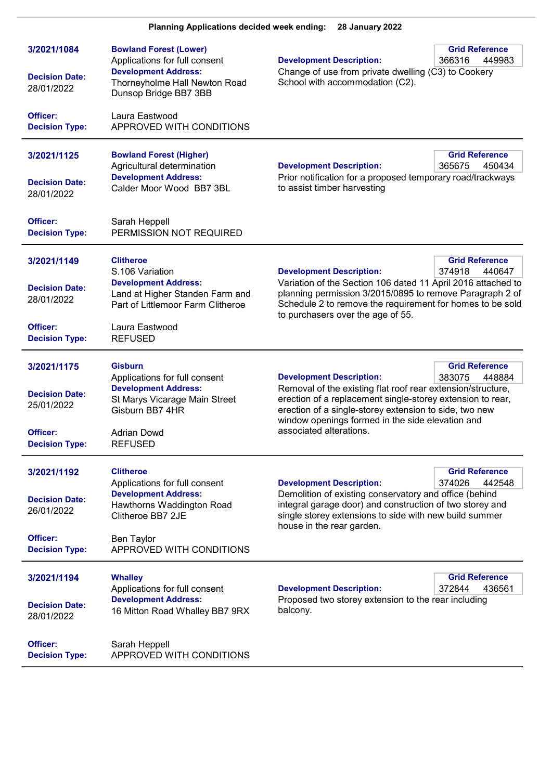| 3/2021/1084<br><b>Decision Date:</b><br>28/01/2022                                      | <b>Bowland Forest (Lower)</b><br>Applications for full consent<br><b>Development Address:</b><br>Thorneyholme Hall Newton Road<br>Dunsop Bridge BB7 3BB                      | <b>Development Description:</b><br>366316<br>Change of use from private dwelling (C3) to Cookery<br>School with accommodation (C2).                                                                                                                                                                                                                | <b>Grid Reference</b><br>449983 |
|-----------------------------------------------------------------------------------------|------------------------------------------------------------------------------------------------------------------------------------------------------------------------------|----------------------------------------------------------------------------------------------------------------------------------------------------------------------------------------------------------------------------------------------------------------------------------------------------------------------------------------------------|---------------------------------|
| Officer:<br><b>Decision Type:</b>                                                       | Laura Eastwood<br>APPROVED WITH CONDITIONS                                                                                                                                   |                                                                                                                                                                                                                                                                                                                                                    |                                 |
| 3/2021/1125<br><b>Decision Date:</b><br>28/01/2022                                      | <b>Bowland Forest (Higher)</b><br>Agricultural determination<br><b>Development Address:</b><br>Calder Moor Wood BB7 3BL                                                      | <b>Development Description:</b><br>365675<br>Prior notification for a proposed temporary road/trackways<br>to assist timber harvesting                                                                                                                                                                                                             | <b>Grid Reference</b><br>450434 |
| Officer:<br><b>Decision Type:</b>                                                       | Sarah Heppell<br>PERMISSION NOT REQUIRED                                                                                                                                     |                                                                                                                                                                                                                                                                                                                                                    |                                 |
| 3/2021/1149<br><b>Decision Date:</b><br>28/01/2022                                      | <b>Clitheroe</b><br>S.106 Variation<br><b>Development Address:</b><br>Land at Higher Standen Farm and<br>Part of Littlemoor Farm Clitheroe                                   | <b>Development Description:</b><br>374918<br>Variation of the Section 106 dated 11 April 2016 attached to<br>planning permission 3/2015/0895 to remove Paragraph 2 of<br>Schedule 2 to remove the requirement for homes to be sold<br>to purchasers over the age of 55.                                                                            | <b>Grid Reference</b><br>440647 |
| Officer:<br><b>Decision Type:</b>                                                       | Laura Eastwood<br><b>REFUSED</b>                                                                                                                                             |                                                                                                                                                                                                                                                                                                                                                    |                                 |
| 3/2021/1175<br><b>Decision Date:</b><br>25/01/2022<br>Officer:<br><b>Decision Type:</b> | <b>Gisburn</b><br>Applications for full consent<br><b>Development Address:</b><br>St Marys Vicarage Main Street<br>Gisburn BB7 4HR<br><b>Adrian Dowd</b><br><b>REFUSED</b>   | <b>Grid Reference</b><br><b>Development Description:</b><br>383075<br>448884<br>Removal of the existing flat roof rear extension/structure,<br>erection of a replacement single-storey extension to rear,<br>erection of a single-storey extension to side, two new<br>window openings formed in the side elevation and<br>associated alterations. |                                 |
| 3/2021/1192<br><b>Decision Date:</b><br>26/01/2022<br>Officer:<br><b>Decision Type:</b> | <b>Clitheroe</b><br>Applications for full consent<br><b>Development Address:</b><br>Hawthorns Waddington Road<br>Clitheroe BB7 2JE<br>Ben Taylor<br>APPROVED WITH CONDITIONS | <b>Grid Reference</b><br><b>Development Description:</b><br>374026<br>442548<br>Demolition of existing conservatory and office (behind<br>integral garage door) and construction of two storey and<br>single storey extensions to side with new build summer<br>house in the rear garden.                                                          |                                 |
| 3/2021/1194<br><b>Decision Date:</b><br>28/01/2022<br>Officer:                          | <b>Whalley</b><br>Applications for full consent<br><b>Development Address:</b><br>16 Mitton Road Whalley BB7 9RX<br>Sarah Heppell                                            | <b>Development Description:</b><br>372844<br>Proposed two storey extension to the rear including<br>balcony.                                                                                                                                                                                                                                       | <b>Grid Reference</b><br>436561 |
| <b>Decision Type:</b>                                                                   | APPROVED WITH CONDITIONS                                                                                                                                                     |                                                                                                                                                                                                                                                                                                                                                    |                                 |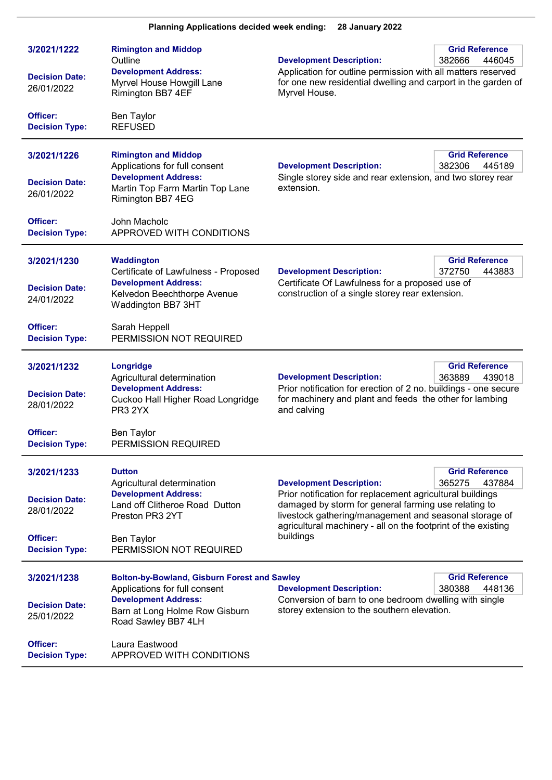## Planning Applications decided week ending: 28 January 2022

| 3/2021/1222<br><b>Decision Date:</b><br>26/01/2022                                      | <b>Rimington and Middop</b><br>Outline<br><b>Development Address:</b><br>Myrvel House Howgill Lane<br>Rimington BB7 4EF                                                  | <b>Grid Reference</b><br><b>Development Description:</b><br>382666<br>446045<br>Application for outline permission with all matters reserved<br>for one new residential dwelling and carport in the garden of<br>Myrvel House.                                                                                                            |  |
|-----------------------------------------------------------------------------------------|--------------------------------------------------------------------------------------------------------------------------------------------------------------------------|-------------------------------------------------------------------------------------------------------------------------------------------------------------------------------------------------------------------------------------------------------------------------------------------------------------------------------------------|--|
| Officer:<br><b>Decision Type:</b>                                                       | <b>Ben Taylor</b><br><b>REFUSED</b>                                                                                                                                      |                                                                                                                                                                                                                                                                                                                                           |  |
| 3/2021/1226<br><b>Decision Date:</b><br>26/01/2022                                      | <b>Rimington and Middop</b><br>Applications for full consent<br><b>Development Address:</b><br>Martin Top Farm Martin Top Lane<br>Rimington BB7 4EG                      | <b>Grid Reference</b><br><b>Development Description:</b><br>382306<br>445189<br>Single storey side and rear extension, and two storey rear<br>extension.                                                                                                                                                                                  |  |
| Officer:<br><b>Decision Type:</b>                                                       | John Macholc<br>APPROVED WITH CONDITIONS                                                                                                                                 |                                                                                                                                                                                                                                                                                                                                           |  |
| 3/2021/1230<br><b>Decision Date:</b><br>24/01/2022                                      | Waddington<br>Certificate of Lawfulness - Proposed<br><b>Development Address:</b><br>Kelvedon Beechthorpe Avenue<br>Waddington BB7 3HT                                   | <b>Grid Reference</b><br><b>Development Description:</b><br>372750<br>443883<br>Certificate Of Lawfulness for a proposed use of<br>construction of a single storey rear extension.                                                                                                                                                        |  |
| Officer:<br><b>Decision Type:</b>                                                       | Sarah Heppell<br>PERMISSION NOT REQUIRED                                                                                                                                 |                                                                                                                                                                                                                                                                                                                                           |  |
| 3/2021/1232<br><b>Decision Date:</b><br>28/01/2022                                      | Longridge<br>Agricultural determination<br><b>Development Address:</b><br>Cuckoo Hall Higher Road Longridge<br>PR3 2YX                                                   | <b>Grid Reference</b><br><b>Development Description:</b><br>363889<br>439018<br>Prior notification for erection of 2 no. buildings - one secure<br>for machinery and plant and feeds the other for lambing<br>and calving                                                                                                                 |  |
| Officer:<br><b>Decision Type:</b>                                                       | <b>Ben Taylor</b><br>PERMISSION REQUIRED                                                                                                                                 |                                                                                                                                                                                                                                                                                                                                           |  |
| 3/2021/1233<br><b>Decision Date:</b><br>28/01/2022<br>Officer:<br><b>Decision Type:</b> | <b>Dutton</b><br>Agricultural determination<br><b>Development Address:</b><br>Land off Clitheroe Road Dutton<br>Preston PR3 2YT<br>Ben Taylor<br>PERMISSION NOT REQUIRED | <b>Grid Reference</b><br>437884<br><b>Development Description:</b><br>365275<br>Prior notification for replacement agricultural buildings<br>damaged by storm for general farming use relating to<br>livestock gathering/management and seasonal storage of<br>agricultural machinery - all on the footprint of the existing<br>buildings |  |
| 3/2021/1238                                                                             | <b>Bolton-by-Bowland, Gisburn Forest and Sawley</b>                                                                                                                      | <b>Grid Reference</b>                                                                                                                                                                                                                                                                                                                     |  |
| <b>Decision Date:</b><br>25/01/2022                                                     | Applications for full consent<br><b>Development Address:</b><br>Barn at Long Holme Row Gisburn<br>Road Sawley BB7 4LH                                                    | <b>Development Description:</b><br>380388<br>448136<br>Conversion of barn to one bedroom dwelling with single<br>storey extension to the southern elevation.                                                                                                                                                                              |  |
| Officer:<br><b>Decision Type:</b>                                                       | Laura Eastwood<br>APPROVED WITH CONDITIONS                                                                                                                               |                                                                                                                                                                                                                                                                                                                                           |  |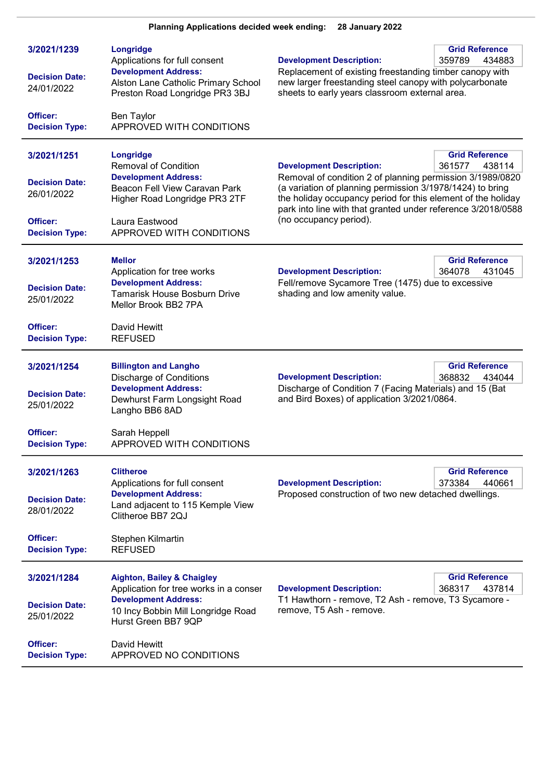| 3/2021/1239<br><b>Decision Date:</b><br>24/01/2022<br>Officer: | Longridge<br>Applications for full consent<br><b>Development Address:</b><br>Alston Lane Catholic Primary School<br>Preston Road Longridge PR3 3BJ<br>Ben Taylor | <b>Development Description:</b><br>Replacement of existing freestanding timber canopy with<br>new larger freestanding steel canopy with polycarbonate<br>sheets to early years classroom external area.             | <b>Grid Reference</b><br>359789<br>434883 |
|----------------------------------------------------------------|------------------------------------------------------------------------------------------------------------------------------------------------------------------|---------------------------------------------------------------------------------------------------------------------------------------------------------------------------------------------------------------------|-------------------------------------------|
| <b>Decision Type:</b>                                          | APPROVED WITH CONDITIONS                                                                                                                                         |                                                                                                                                                                                                                     |                                           |
| 3/2021/1251                                                    | Longridge<br><b>Removal of Condition</b><br><b>Development Address:</b>                                                                                          | <b>Development Description:</b><br>Removal of condition 2 of planning permission 3/1989/0820                                                                                                                        | <b>Grid Reference</b><br>361577<br>438114 |
| <b>Decision Date:</b><br>26/01/2022                            | Beacon Fell View Caravan Park<br>Higher Road Longridge PR3 2TF                                                                                                   | (a variation of planning permission 3/1978/1424) to bring<br>the holiday occupancy period for this element of the holiday<br>park into line with that granted under reference 3/2018/0588<br>(no occupancy period). |                                           |
| Officer:<br><b>Decision Type:</b>                              | Laura Eastwood<br>APPROVED WITH CONDITIONS                                                                                                                       |                                                                                                                                                                                                                     |                                           |
| 3/2021/1253                                                    | <b>Mellor</b><br>Application for tree works                                                                                                                      | <b>Development Description:</b>                                                                                                                                                                                     | <b>Grid Reference</b><br>364078<br>431045 |
| <b>Decision Date:</b><br>25/01/2022                            | <b>Development Address:</b><br><b>Tamarisk House Bosburn Drive</b><br>Mellor Brook BB2 7PA                                                                       | Fell/remove Sycamore Tree (1475) due to excessive<br>shading and low amenity value.                                                                                                                                 |                                           |
| Officer:<br><b>Decision Type:</b>                              | David Hewitt<br><b>REFUSED</b>                                                                                                                                   |                                                                                                                                                                                                                     |                                           |
| 3/2021/1254                                                    | <b>Billington and Langho</b><br><b>Discharge of Conditions</b>                                                                                                   | <b>Development Description:</b>                                                                                                                                                                                     | <b>Grid Reference</b><br>368832<br>434044 |
| <b>Decision Date:</b><br>25/01/2022                            | <b>Development Address:</b><br>Dewhurst Farm Longsight Road<br>Langho BB6 8AD                                                                                    | Discharge of Condition 7 (Facing Materials) and 15 (Bat<br>and Bird Boxes) of application 3/2021/0864.                                                                                                              |                                           |
| Officer:<br><b>Decision Type:</b>                              | Sarah Heppell<br>APPROVED WITH CONDITIONS                                                                                                                        |                                                                                                                                                                                                                     |                                           |
| 3/2021/1263                                                    | <b>Clitheroe</b><br>Applications for full consent                                                                                                                | <b>Development Description:</b>                                                                                                                                                                                     | <b>Grid Reference</b><br>440661<br>373384 |
| <b>Decision Date:</b><br>28/01/2022                            | <b>Development Address:</b><br>Land adjacent to 115 Kemple View<br>Clitheroe BB7 2QJ                                                                             | Proposed construction of two new detached dwellings.                                                                                                                                                                |                                           |
| Officer:<br><b>Decision Type:</b>                              | Stephen Kilmartin<br><b>REFUSED</b>                                                                                                                              |                                                                                                                                                                                                                     |                                           |
| 3/2021/1284                                                    | <b>Aighton, Bailey &amp; Chaigley</b><br>Application for tree works in a conser                                                                                  | <b>Development Description:</b>                                                                                                                                                                                     | <b>Grid Reference</b><br>368317<br>437814 |
| <b>Decision Date:</b><br>25/01/2022                            | <b>Development Address:</b><br>10 Incy Bobbin Mill Longridge Road<br>Hurst Green BB7 9QP                                                                         | T1 Hawthorn - remove, T2 Ash - remove, T3 Sycamore -<br>remove, T5 Ash - remove.                                                                                                                                    |                                           |
| Officer:<br><b>Decision Type:</b>                              | David Hewitt<br>APPROVED NO CONDITIONS                                                                                                                           |                                                                                                                                                                                                                     |                                           |